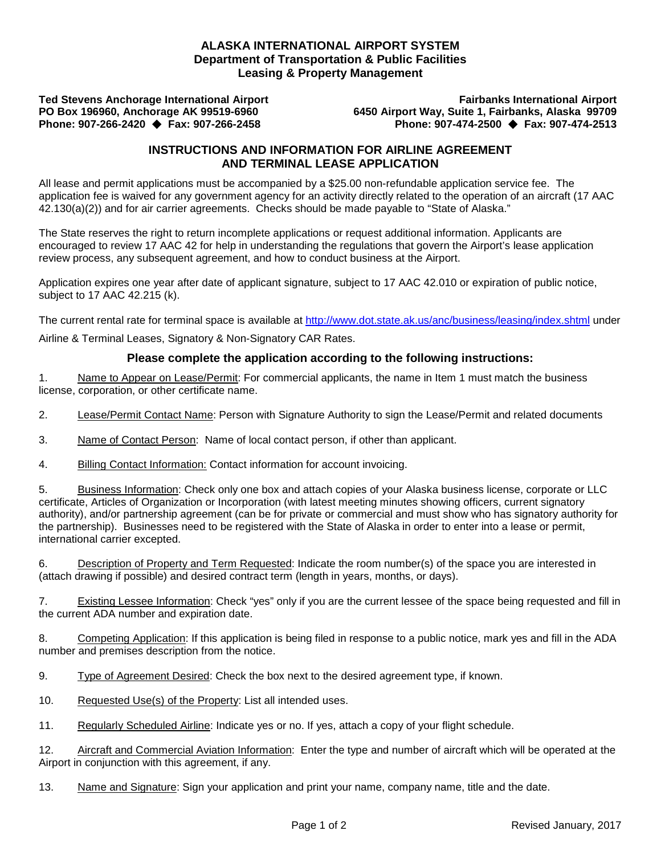## **ALASKA INTERNATIONAL AIRPORT SYSTEM Department of Transportation & Public Facilities Leasing & Property Management**

**Phone: 907-266-2420 Fax: 907-266-2458 Phone: 907-474-2500 Fax: 907-474-2513**

**Ted Stevens Anchorage International Airport Fairbanks International Airport PO Box 196960, Anchorage AK 99519-6960 6450 Airport Way, Suite 1, Fairbanks, Alaska 99709**

## **INSTRUCTIONS AND INFORMATION FOR AIRLINE AGREEMENT AND TERMINAL LEASE APPLICATION**

All lease and permit applications must be accompanied by a \$25.00 non-refundable application service fee. The application fee is waived for any government agency for an activity directly related to the operation of an aircraft (17 AAC 42.130(a)(2)) and for air carrier agreements. Checks should be made payable to "State of Alaska."

The State reserves the right to return incomplete applications or request additional information. Applicants are encouraged to review 17 AAC 42 for help in understanding the regulations that govern the Airport's lease application review process, any subsequent agreement, and how to conduct business at the Airport.

Application expires one year after date of applicant signature, subject to 17 AAC 42.010 or expiration of public notice, subject to 17 AAC 42.215 (k).

The current rental rate for terminal space is available at<http://www.dot.state.ak.us/anc/business/leasing/index.shtml> under

Airline & Terminal Leases, Signatory & Non-Signatory CAR Rates.

## **Please complete the application according to the following instructions:**

1. Name to Appear on Lease/Permit: For commercial applicants, the name in Item 1 must match the business license, corporation, or other certificate name.

2. Lease/Permit Contact Name: Person with Signature Authority to sign the Lease/Permit and related documents

3. Name of Contact Person: Name of local contact person, if other than applicant.

4. Billing Contact Information: Contact information for account invoicing.

5. Business Information: Check only one box and attach copies of your Alaska business license, corporate or LLC certificate, Articles of Organization or Incorporation (with latest meeting minutes showing officers, current signatory authority), and/or partnership agreement (can be for private or commercial and must show who has signatory authority for the partnership). Businesses need to be registered with the State of Alaska in order to enter into a lease or permit, international carrier excepted.

6. Description of Property and Term Requested: Indicate the room number(s) of the space you are interested in (attach drawing if possible) and desired contract term (length in years, months, or days).

7. Existing Lessee Information: Check "yes" only if you are the current lessee of the space being requested and fill in the current ADA number and expiration date.

8. Competing Application: If this application is being filed in response to a public notice, mark yes and fill in the ADA number and premises description from the notice.

9. Type of Agreement Desired: Check the box next to the desired agreement type, if known.

10. Requested Use(s) of the Property: List all intended uses.

11. Regularly Scheduled Airline: Indicate yes or no. If yes, attach a copy of your flight schedule.

12. Aircraft and Commercial Aviation Information: Enter the type and number of aircraft which will be operated at the Airport in conjunction with this agreement, if any.

13. Name and Signature: Sign your application and print your name, company name, title and the date.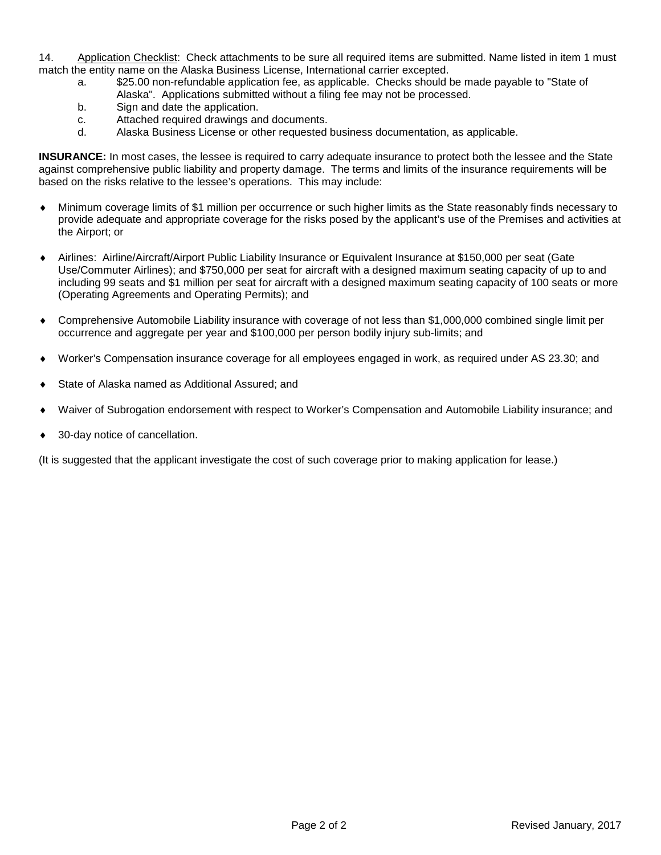14. Application Checklist: Check attachments to be sure all required items are submitted. Name listed in item 1 must match the entity name on the Alaska Business License, International carrier excepted.

- a. \$25.00 non-refundable application fee, as applicable. Checks should be made payable to "State of Alaska". Applications submitted without a filing fee may not be processed.
- b. Sign and date the application.
- c. Attached required drawings and documents.
- d. Alaska Business License or other requested business documentation, as applicable.

**INSURANCE:** In most cases, the lessee is required to carry adequate insurance to protect both the lessee and the State against comprehensive public liability and property damage. The terms and limits of the insurance requirements will be based on the risks relative to the lessee's operations. This may include:

- ♦ Minimum coverage limits of \$1 million per occurrence or such higher limits as the State reasonably finds necessary to provide adequate and appropriate coverage for the risks posed by the applicant's use of the Premises and activities at the Airport; or
- ♦ Airlines: Airline/Aircraft/Airport Public Liability Insurance or Equivalent Insurance at \$150,000 per seat (Gate Use/Commuter Airlines); and \$750,000 per seat for aircraft with a designed maximum seating capacity of up to and including 99 seats and \$1 million per seat for aircraft with a designed maximum seating capacity of 100 seats or more (Operating Agreements and Operating Permits); and
- ♦ Comprehensive Automobile Liability insurance with coverage of not less than \$1,000,000 combined single limit per occurrence and aggregate per year and \$100,000 per person bodily injury sub-limits; and
- Worker's Compensation insurance coverage for all employees engaged in work, as required under AS 23.30; and
- State of Alaska named as Additional Assured; and
- Waiver of Subrogation endorsement with respect to Worker's Compensation and Automobile Liability insurance; and
- 30-day notice of cancellation.

(It is suggested that the applicant investigate the cost of such coverage prior to making application for lease.)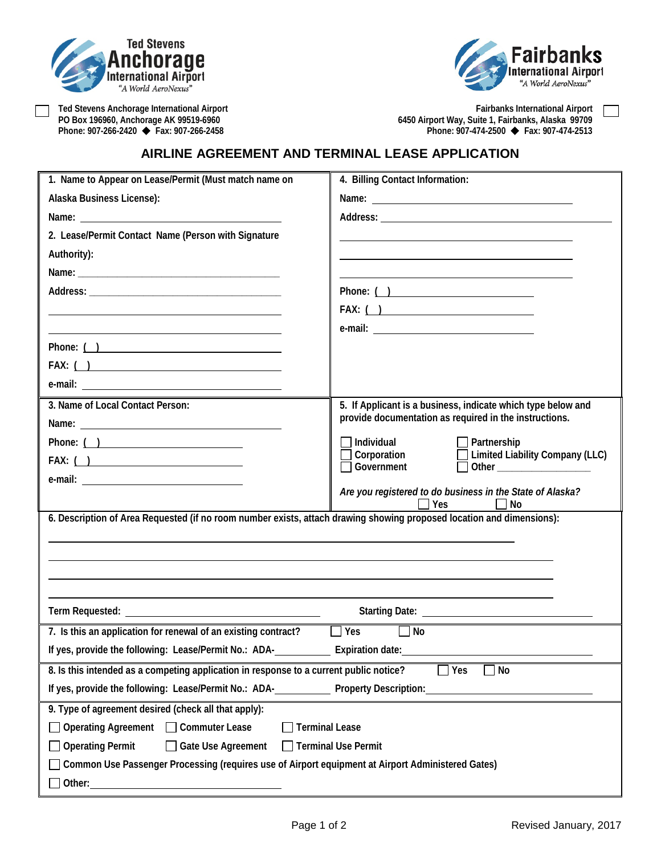



Ted Stevens Anchorage International Airport<br>
PO Box 196960, Anchorage AK 99519-6960<br>
Phone: 907-266-2420 ◆ Fax: 907-266-2458<br>
Phone: 907-474-2500 ◆ Fax: 907-474-2513 **PO Box 196960, Anchorage AK 99519-6960 6450 Airport Way, Suite 1, Fairbanks, Alaska 99709 Phone: 907-266-2420 Fax: 907-266-2458 Phone: 907-474-2500 Fax: 907-474-2513**

## **AIRLINE AGREEMENT AND TERMINAL LEASE APPLICATION**

| 1. Name to Appear on Lease/Permit (Must match name on                                                                 | 4. Billing Contact Information:                                                                      |  |  |  |  |
|-----------------------------------------------------------------------------------------------------------------------|------------------------------------------------------------------------------------------------------|--|--|--|--|
| Alaska Business License):                                                                                             |                                                                                                      |  |  |  |  |
|                                                                                                                       |                                                                                                      |  |  |  |  |
| 2. Lease/Permit Contact Name (Person with Signature                                                                   |                                                                                                      |  |  |  |  |
| Authority):                                                                                                           |                                                                                                      |  |  |  |  |
|                                                                                                                       |                                                                                                      |  |  |  |  |
|                                                                                                                       |                                                                                                      |  |  |  |  |
|                                                                                                                       | FAX: $( )$                                                                                           |  |  |  |  |
|                                                                                                                       |                                                                                                      |  |  |  |  |
| Phone: ( )                                                                                                            |                                                                                                      |  |  |  |  |
|                                                                                                                       |                                                                                                      |  |  |  |  |
|                                                                                                                       |                                                                                                      |  |  |  |  |
| 3. Name of Local Contact Person:                                                                                      | 5. If Applicant is a business, indicate which type below and                                         |  |  |  |  |
|                                                                                                                       | provide documentation as required in the instructions.                                               |  |  |  |  |
|                                                                                                                       | Individual<br>Partnership                                                                            |  |  |  |  |
| $FAX: ( )$                                                                                                            | <b>Limited Liability Company (LLC)</b><br>Corporation<br>Government<br>Other _______________________ |  |  |  |  |
|                                                                                                                       |                                                                                                      |  |  |  |  |
|                                                                                                                       | Are you registered to do business in the State of Alaska?<br>Yes<br>No                               |  |  |  |  |
| 6. Description of Area Requested (if no room number exists, attach drawing showing proposed location and dimensions): |                                                                                                      |  |  |  |  |
|                                                                                                                       |                                                                                                      |  |  |  |  |
|                                                                                                                       |                                                                                                      |  |  |  |  |
|                                                                                                                       |                                                                                                      |  |  |  |  |
|                                                                                                                       |                                                                                                      |  |  |  |  |
|                                                                                                                       |                                                                                                      |  |  |  |  |
| 7. Is this an application for renewal of an existing contract?<br>$\Box$ Yes<br>$\Box$ No                             |                                                                                                      |  |  |  |  |
| If yes, provide the following: Lease/Permit No.: ADA-<br>Expiration date:<br><u>Expiration</u> date:                  |                                                                                                      |  |  |  |  |
| 8. Is this intended as a competing application in response to a current public notice?<br>Yes<br>No                   |                                                                                                      |  |  |  |  |
| If yes, provide the following: Lease/Permit No.: ADA-<br><b>Property Description:</b>                                 |                                                                                                      |  |  |  |  |
| 9. Type of agreement desired (check all that apply):                                                                  |                                                                                                      |  |  |  |  |
| <b>Terminal Lease</b><br><b>Operating Agreement</b><br><b>Commuter Lease</b>                                          |                                                                                                      |  |  |  |  |
| <b>Operating Permit</b><br>Gate Use Agreement<br><b>Terminal Use Permit</b>                                           |                                                                                                      |  |  |  |  |
| Common Use Passenger Processing (requires use of Airport equipment at Airport Administered Gates)                     |                                                                                                      |  |  |  |  |
| Other:                                                                                                                |                                                                                                      |  |  |  |  |